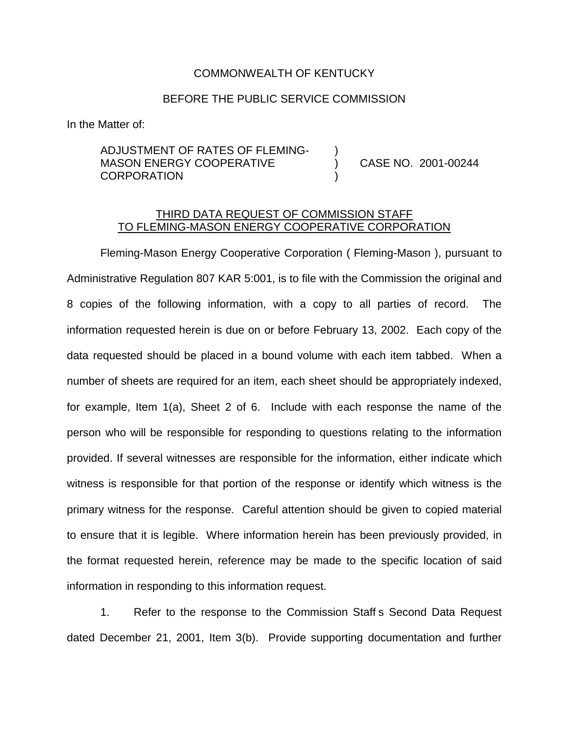## COMMONWEALTH OF KENTUCKY

## BEFORE THE PUBLIC SERVICE COMMISSION

In the Matter of:

## ADJUSTMENT OF RATES OF FLEMING-MASON ENERGY COOPERATIVE (3001) CASE NO. 2001-00244 **CORPORATION**

## THIRD DATA REQUEST OF COMMISSION STAFF TO FLEMING-MASON ENERGY COOPERATIVE CORPORATION

Fleming-Mason Energy Cooperative Corporation ( Fleming-Mason ), pursuant to Administrative Regulation 807 KAR 5:001, is to file with the Commission the original and 8 copies of the following information, with a copy to all parties of record. The information requested herein is due on or before February 13, 2002. Each copy of the data requested should be placed in a bound volume with each item tabbed. When a number of sheets are required for an item, each sheet should be appropriately indexed, for example, Item 1(a), Sheet 2 of 6. Include with each response the name of the person who will be responsible for responding to questions relating to the information provided. If several witnesses are responsible for the information, either indicate which witness is responsible for that portion of the response or identify which witness is the primary witness for the response. Careful attention should be given to copied material to ensure that it is legible. Where information herein has been previously provided, in the format requested herein, reference may be made to the specific location of said information in responding to this information request.

1. Refer to the response to the Commission Staff s Second Data Request dated December 21, 2001, Item 3(b). Provide supporting documentation and further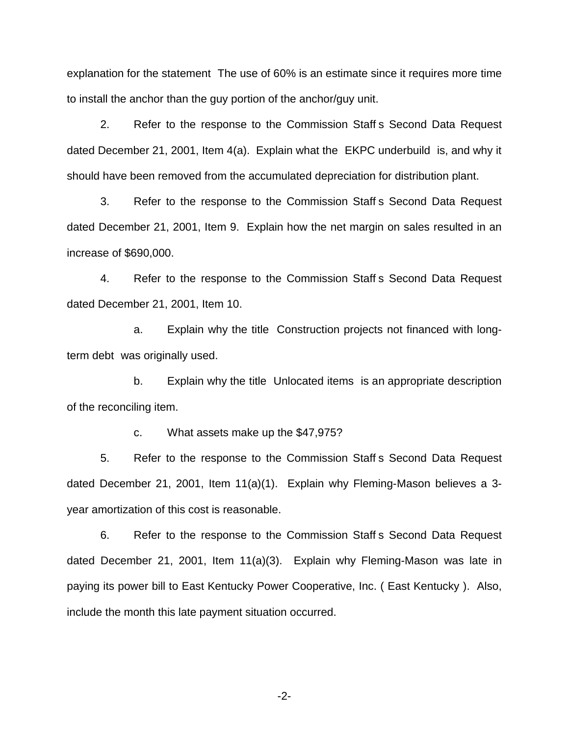explanation for the statement The use of 60% is an estimate since it requires more time to install the anchor than the guy portion of the anchor/guy unit.

2. Refer to the response to the Commission Staff s Second Data Request dated December 21, 2001, Item 4(a). Explain what the EKPC underbuild is, and why it should have been removed from the accumulated depreciation for distribution plant.

3. Refer to the response to the Commission Staff s Second Data Request dated December 21, 2001, Item 9. Explain how the net margin on sales resulted in an increase of \$690,000.

4. Refer to the response to the Commission Staff s Second Data Request dated December 21, 2001, Item 10.

a. Explain why the title Construction projects not financed with longterm debt was originally used.

b. Explain why the title Unlocated items is an appropriate description of the reconciling item.

c. What assets make up the \$47,975?

5. Refer to the response to the Commission Staff s Second Data Request dated December 21, 2001, Item 11(a)(1). Explain why Fleming-Mason believes a 3 year amortization of this cost is reasonable.

6. Refer to the response to the Commission Staff s Second Data Request dated December 21, 2001, Item 11(a)(3). Explain why Fleming-Mason was late in paying its power bill to East Kentucky Power Cooperative, Inc. ( East Kentucky ). Also, include the month this late payment situation occurred.

-2-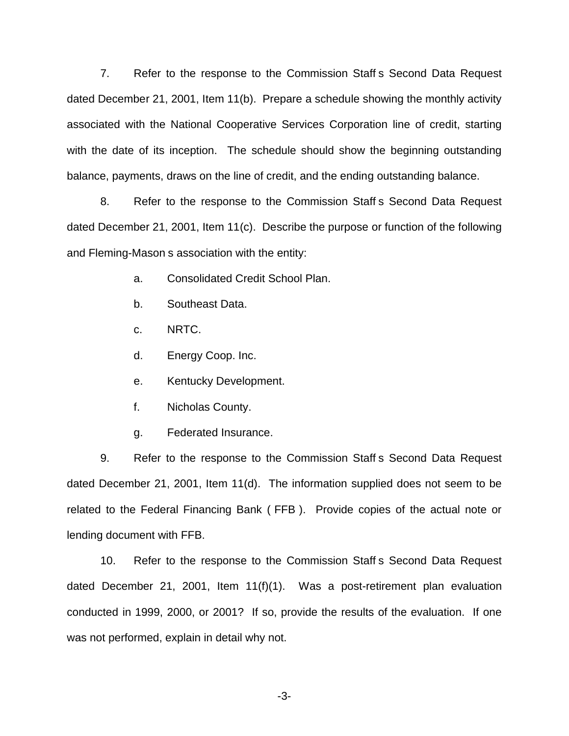7. Refer to the response to the Commission Staff s Second Data Request dated December 21, 2001, Item 11(b). Prepare a schedule showing the monthly activity associated with the National Cooperative Services Corporation line of credit, starting with the date of its inception. The schedule should show the beginning outstanding balance, payments, draws on the line of credit, and the ending outstanding balance.

8. Refer to the response to the Commission Staff s Second Data Request dated December 21, 2001, Item 11(c). Describe the purpose or function of the following and Fleming-Mason s association with the entity:

- a. Consolidated Credit School Plan.
- b. Southeast Data.
- c. NRTC.
- d. Energy Coop. Inc.
- e. Kentucky Development.
- f. Nicholas County.
- g. Federated Insurance.

9. Refer to the response to the Commission Staff s Second Data Request dated December 21, 2001, Item 11(d). The information supplied does not seem to be related to the Federal Financing Bank ( FFB ). Provide copies of the actual note or lending document with FFB.

10. Refer to the response to the Commission Staff s Second Data Request dated December 21, 2001, Item 11(f)(1). Was a post-retirement plan evaluation conducted in 1999, 2000, or 2001? If so, provide the results of the evaluation. If one was not performed, explain in detail why not.

-3-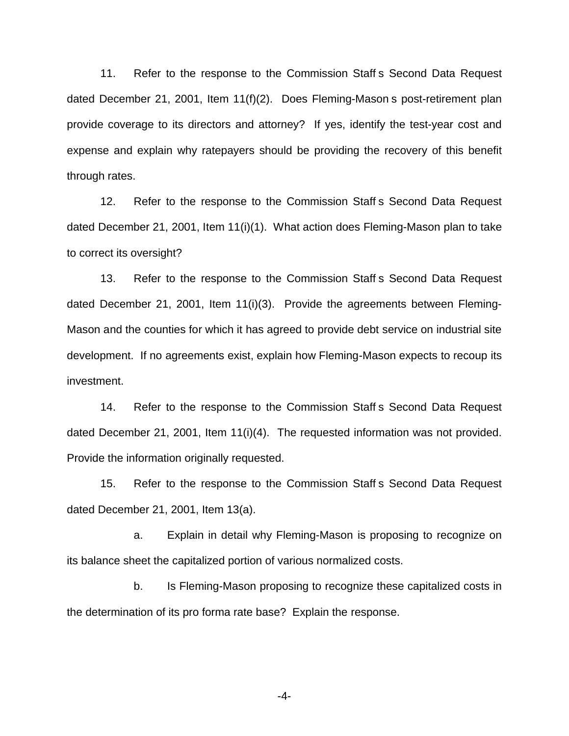11. Refer to the response to the Commission Staff s Second Data Request dated December 21, 2001, Item 11(f)(2). Does Fleming-Mason s post-retirement plan provide coverage to its directors and attorney? If yes, identify the test-year cost and expense and explain why ratepayers should be providing the recovery of this benefit through rates.

12. Refer to the response to the Commission Staff s Second Data Request dated December 21, 2001, Item 11(i)(1). What action does Fleming-Mason plan to take to correct its oversight?

13. Refer to the response to the Commission Staff s Second Data Request dated December 21, 2001, Item 11(i)(3). Provide the agreements between Fleming-Mason and the counties for which it has agreed to provide debt service on industrial site development. If no agreements exist, explain how Fleming-Mason expects to recoup its investment.

14. Refer to the response to the Commission Staff s Second Data Request dated December 21, 2001, Item 11(i)(4). The requested information was not provided. Provide the information originally requested.

15. Refer to the response to the Commission Staff s Second Data Request dated December 21, 2001, Item 13(a).

a. Explain in detail why Fleming-Mason is proposing to recognize on its balance sheet the capitalized portion of various normalized costs.

b. Is Fleming-Mason proposing to recognize these capitalized costs in the determination of its pro forma rate base? Explain the response.

-4-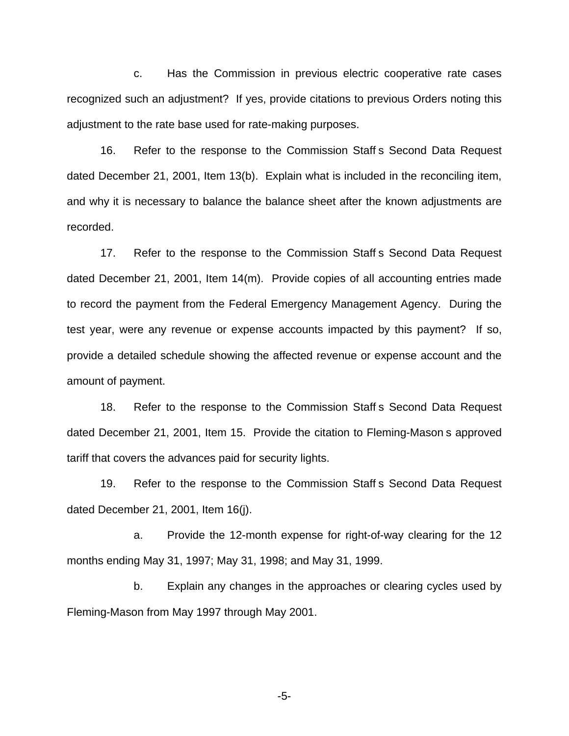c. Has the Commission in previous electric cooperative rate cases recognized such an adjustment? If yes, provide citations to previous Orders noting this adjustment to the rate base used for rate-making purposes.

16. Refer to the response to the Commission Staff s Second Data Request dated December 21, 2001, Item 13(b). Explain what is included in the reconciling item, and why it is necessary to balance the balance sheet after the known adjustments are recorded.

17. Refer to the response to the Commission Staff s Second Data Request dated December 21, 2001, Item 14(m). Provide copies of all accounting entries made to record the payment from the Federal Emergency Management Agency. During the test year, were any revenue or expense accounts impacted by this payment? If so, provide a detailed schedule showing the affected revenue or expense account and the amount of payment.

18. Refer to the response to the Commission Staff s Second Data Request dated December 21, 2001, Item 15. Provide the citation to Fleming-Mason s approved tariff that covers the advances paid for security lights.

19. Refer to the response to the Commission Staff s Second Data Request dated December 21, 2001, Item 16(j).

a. Provide the 12-month expense for right-of-way clearing for the 12 months ending May 31, 1997; May 31, 1998; and May 31, 1999.

b. Explain any changes in the approaches or clearing cycles used by Fleming-Mason from May 1997 through May 2001.

-5-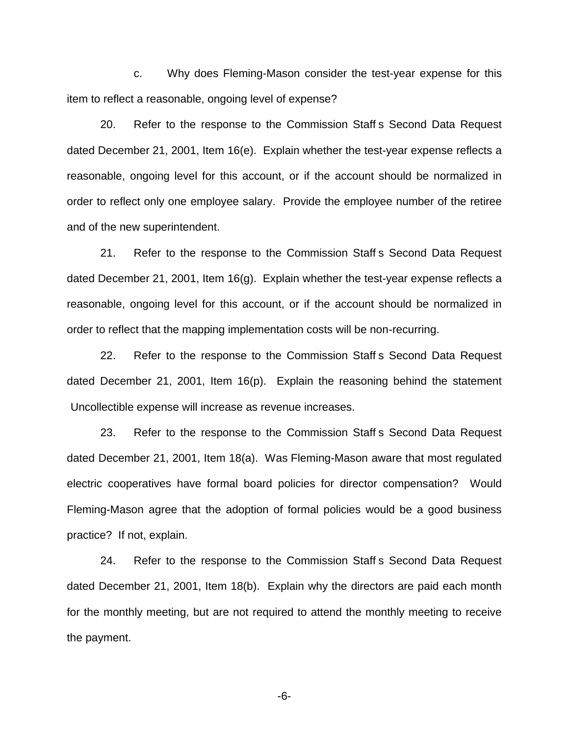c. Why does Fleming-Mason consider the test-year expense for this item to reflect a reasonable, ongoing level of expense?

20. Refer to the response to the Commission Staff s Second Data Request dated December 21, 2001, Item 16(e). Explain whether the test-year expense reflects a reasonable, ongoing level for this account, or if the account should be normalized in order to reflect only one employee salary. Provide the employee number of the retiree and of the new superintendent.

21. Refer to the response to the Commission Staff s Second Data Request dated December 21, 2001, Item 16(g). Explain whether the test-year expense reflects a reasonable, ongoing level for this account, or if the account should be normalized in order to reflect that the mapping implementation costs will be non-recurring.

22. Refer to the response to the Commission Staff s Second Data Request dated December 21, 2001, Item 16(p). Explain the reasoning behind the statement Uncollectible expense will increase as revenue increases.

23. Refer to the response to the Commission Staff s Second Data Request dated December 21, 2001, Item 18(a). Was Fleming-Mason aware that most regulated electric cooperatives have formal board policies for director compensation? Would Fleming-Mason agree that the adoption of formal policies would be a good business practice? If not, explain.

24. Refer to the response to the Commission Staff s Second Data Request dated December 21, 2001, Item 18(b). Explain why the directors are paid each month for the monthly meeting, but are not required to attend the monthly meeting to receive the payment.

-6-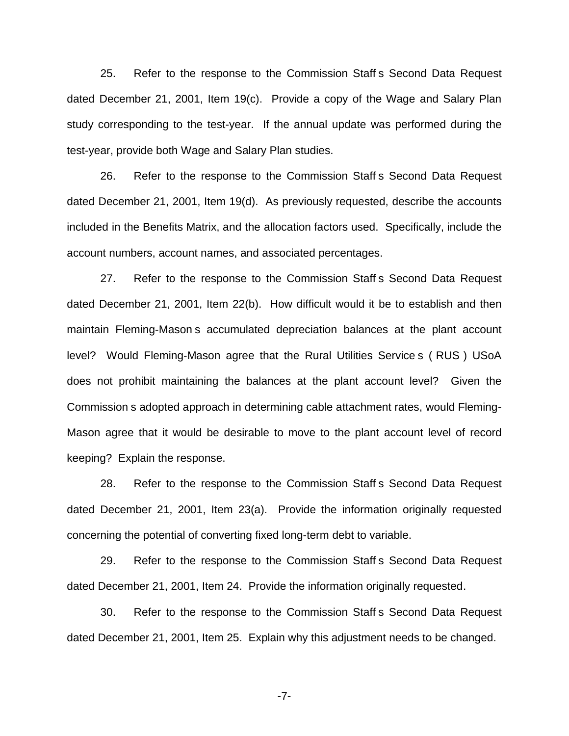25. Refer to the response to the Commission Staff s Second Data Request dated December 21, 2001, Item 19(c). Provide a copy of the Wage and Salary Plan study corresponding to the test-year. If the annual update was performed during the test-year, provide both Wage and Salary Plan studies.

26. Refer to the response to the Commission Staff s Second Data Request dated December 21, 2001, Item 19(d). As previously requested, describe the accounts included in the Benefits Matrix, and the allocation factors used. Specifically, include the account numbers, account names, and associated percentages.

27. Refer to the response to the Commission Staff s Second Data Request dated December 21, 2001, Item 22(b). How difficult would it be to establish and then maintain Fleming-Mason s accumulated depreciation balances at the plant account level? Would Fleming-Mason agree that the Rural Utilities Service s ( RUS ) USoA does not prohibit maintaining the balances at the plant account level? Given the Commission s adopted approach in determining cable attachment rates, would Fleming-Mason agree that it would be desirable to move to the plant account level of record keeping? Explain the response.

28. Refer to the response to the Commission Staff s Second Data Request dated December 21, 2001, Item 23(a). Provide the information originally requested concerning the potential of converting fixed long-term debt to variable.

29. Refer to the response to the Commission Staff s Second Data Request dated December 21, 2001, Item 24. Provide the information originally requested.

30. Refer to the response to the Commission Staff s Second Data Request dated December 21, 2001, Item 25. Explain why this adjustment needs to be changed.

-7-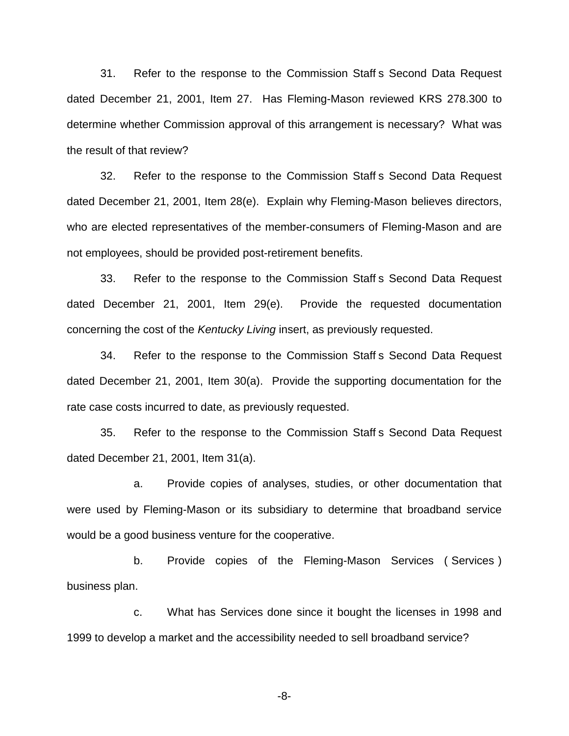31. Refer to the response to the Commission Staff s Second Data Request dated December 21, 2001, Item 27. Has Fleming-Mason reviewed KRS 278.300 to determine whether Commission approval of this arrangement is necessary? What was the result of that review?

32. Refer to the response to the Commission Staff s Second Data Request dated December 21, 2001, Item 28(e). Explain why Fleming-Mason believes directors, who are elected representatives of the member-consumers of Fleming-Mason and are not employees, should be provided post-retirement benefits.

33. Refer to the response to the Commission Staff s Second Data Request dated December 21, 2001, Item 29(e). Provide the requested documentation concerning the cost of the *Kentucky Living* insert, as previously requested.

34. Refer to the response to the Commission Staff s Second Data Request dated December 21, 2001, Item 30(a). Provide the supporting documentation for the rate case costs incurred to date, as previously requested.

35. Refer to the response to the Commission Staff s Second Data Request dated December 21, 2001, Item 31(a).

a. Provide copies of analyses, studies, or other documentation that were used by Fleming-Mason or its subsidiary to determine that broadband service would be a good business venture for the cooperative.

b. Provide copies of the Fleming-Mason Services ( Services ) business plan.

c. What has Services done since it bought the licenses in 1998 and 1999 to develop a market and the accessibility needed to sell broadband service?

-8-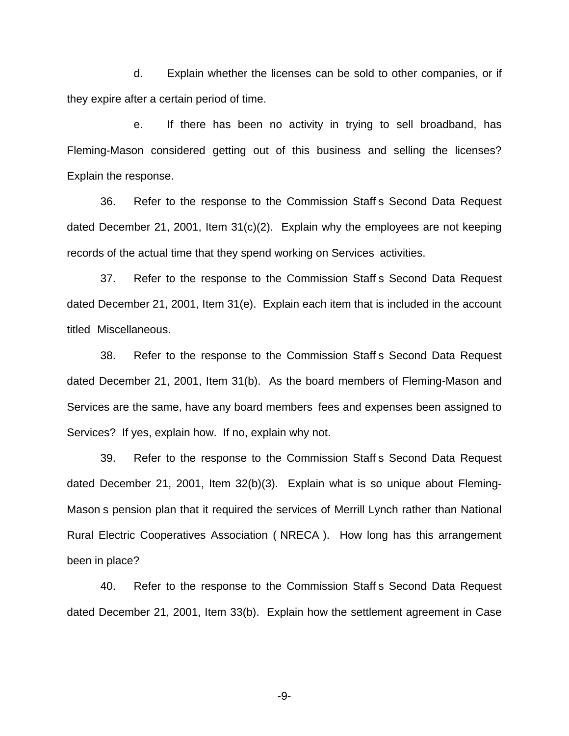d. Explain whether the licenses can be sold to other companies, or if they expire after a certain period of time.

e. If there has been no activity in trying to sell broadband, has Fleming-Mason considered getting out of this business and selling the licenses? Explain the response.

36. Refer to the response to the Commission Staff s Second Data Request dated December 21, 2001, Item 31(c)(2). Explain why the employees are not keeping records of the actual time that they spend working on Services activities.

37. Refer to the response to the Commission Staff s Second Data Request dated December 21, 2001, Item 31(e). Explain each item that is included in the account titled Miscellaneous.

38. Refer to the response to the Commission Staff s Second Data Request dated December 21, 2001, Item 31(b). As the board members of Fleming-Mason and Services are the same, have any board members fees and expenses been assigned to Services? If yes, explain how. If no, explain why not.

39. Refer to the response to the Commission Staff s Second Data Request dated December 21, 2001, Item 32(b)(3). Explain what is so unique about Fleming-Mason s pension plan that it required the services of Merrill Lynch rather than National Rural Electric Cooperatives Association ( NRECA ). How long has this arrangement been in place?

40. Refer to the response to the Commission Staff s Second Data Request dated December 21, 2001, Item 33(b). Explain how the settlement agreement in Case

-9-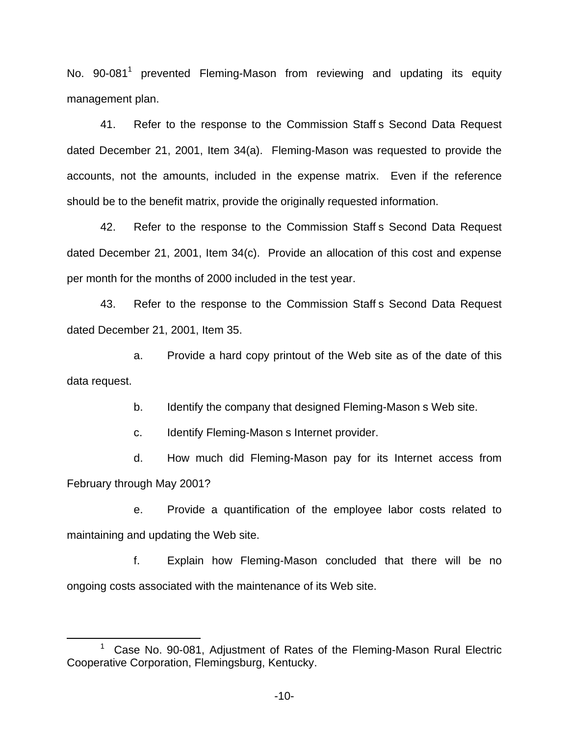No. 90-081<sup>1</sup> prevented Fleming-Mason from reviewing and updating its equity management plan.

41. Refer to the response to the Commission Staff s Second Data Request dated December 21, 2001, Item 34(a). Fleming-Mason was requested to provide the accounts, not the amounts, included in the expense matrix. Even if the reference should be to the benefit matrix, provide the originally requested information.

42. Refer to the response to the Commission Staff s Second Data Request dated December 21, 2001, Item 34(c). Provide an allocation of this cost and expense per month for the months of 2000 included in the test year.

43. Refer to the response to the Commission Staff s Second Data Request dated December 21, 2001, Item 35.

a. Provide a hard copy printout of the Web site as of the date of this data request.

b. Identify the company that designed Fleming-Mason s Web site.

c. Identify Fleming-Mason s Internet provider.

d. How much did Fleming-Mason pay for its Internet access from February through May 2001?

e. Provide a quantification of the employee labor costs related to maintaining and updating the Web site.

f. Explain how Fleming-Mason concluded that there will be no ongoing costs associated with the maintenance of its Web site.

<sup>&</sup>lt;sup>1</sup> Case No. 90-081, Adjustment of Rates of the Fleming-Mason Rural Electric Cooperative Corporation, Flemingsburg, Kentucky.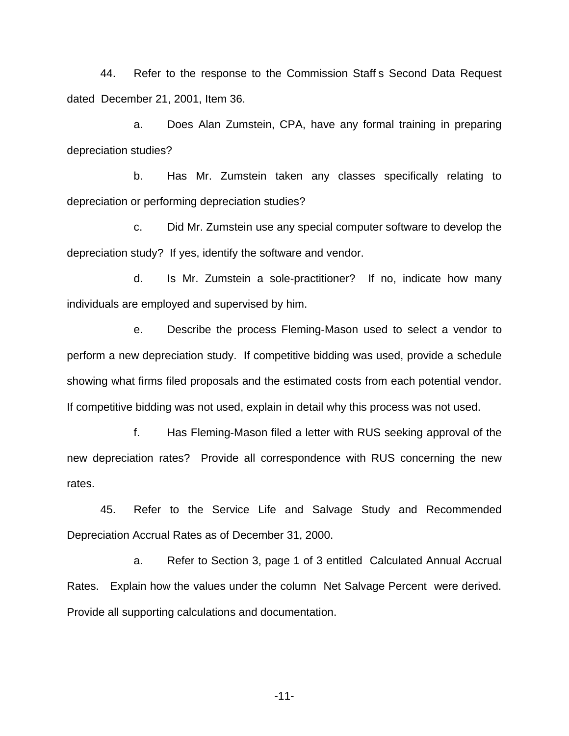44. Refer to the response to the Commission Staff s Second Data Request dated December 21, 2001, Item 36.

a. Does Alan Zumstein, CPA, have any formal training in preparing depreciation studies?

b. Has Mr. Zumstein taken any classes specifically relating to depreciation or performing depreciation studies?

c. Did Mr. Zumstein use any special computer software to develop the depreciation study? If yes, identify the software and vendor.

d. Is Mr. Zumstein a sole-practitioner? If no, indicate how many individuals are employed and supervised by him.

e. Describe the process Fleming-Mason used to select a vendor to perform a new depreciation study. If competitive bidding was used, provide a schedule showing what firms filed proposals and the estimated costs from each potential vendor. If competitive bidding was not used, explain in detail why this process was not used.

f. Has Fleming-Mason filed a letter with RUS seeking approval of the new depreciation rates? Provide all correspondence with RUS concerning the new rates.

45. Refer to the Service Life and Salvage Study and Recommended Depreciation Accrual Rates as of December 31, 2000.

a. Refer to Section 3, page 1 of 3 entitled Calculated Annual Accrual Rates. Explain how the values under the column Net Salvage Percent were derived. Provide all supporting calculations and documentation.

-11-